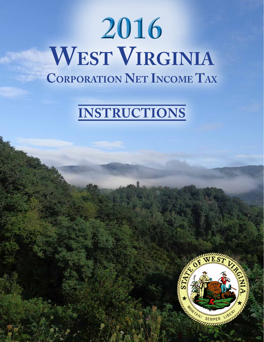# **2016 West Virginia Corporation Net Income Tax**

# **Instructions**

 $R_{\rm eff}$  and  $R_{\rm eff}$  and  $R_{\rm eff}$  and  $R_{\rm eff}$  and  $R_{\rm eff}$  and  $R_{\rm eff}$  and  $R_{\rm eff}$  and  $R_{\rm eff}$  and  $R_{\rm eff}$  and  $R_{\rm eff}$  and  $R_{\rm eff}$  and  $R_{\rm eff}$  and  $R_{\rm eff}$  and  $R_{\rm eff}$  and  $R_{\rm eff}$  and  $R_{\rm eff}$  and  $R_{\rm eff}$  and

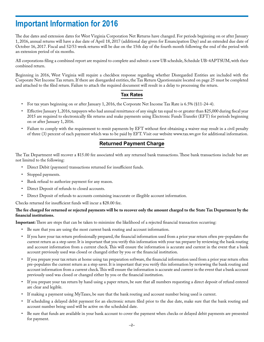## **Important Information for 2016**

The due dates and extension dates for West Virginia Corporation Net Returns have changed. For periods beginning on or after January 1, 2016, annual returns will have a due date of April 18, 2017 (additional day given for Emancipation Day) and an extended due date of October 16, 2017. Fiscal and 52/53 week returns will be due on the 15th day of the fourth month following the end of the period with an extension period of six months.

All corporations filing a combined report are required to complete and submit a new UB schedule, Schedule UB-4APTSUM, with their combined return.

Beginning in 2016, West Virginia will require a checkbox response regarding whether Disregarded Entities are included with the Corporate Net Income Tax return. If there are disregarded entities, the Tax Return Questionnaire located on page 25 must be completed and attached to the filed return. Failure to attach the required document will result in a delay to processing the return.

### **Tax Rates**

- For tax years beginning on or after January 1, 2016, the Corporate Net Income Tax Rate is 6.5% (§11-24-4).
- Effective January 1, 2016, taxpayers who had annual remittance of any single tax equal to or greater than \$25,000 during fiscal year 2015 are required to electronically file returns and make payments using Electronic Funds Transfer (EFT) for periods beginning on or after January 1, 2016.
- Failure to comply with the requirement to remit payments by EFT without first obtaining a waiver may result in a civil penalty of three (3) percent of each payment which was to be paid by EFT. Visit our website www.tax.wv.gov for additional information.

### **Returned Payment Charge**

The Tax Department will recover a \$15.00 fee associated with any returned bank transactions. These bank transactions include but are not limited to the following:

- Direct Debit (payment) transactions returned for insufficient funds.
- Stopped payments.
- Bank refusal to authorize payment for any reason.
- Direct Deposit of refunds to closed accounts.
- Direct Deposit of refunds to accounts containing inaccurate or illegible account information.

Checks returned for insufficient funds will incur a \$28.00 fee.

#### **The fee charged for returned or rejected payments will be to recover only the amount charged to the State Tax Department by the financial institutions.**

**Important:** There are steps that can be taken to minimize the likelihood of a rejected financial transaction occurring:

- • Be sure that you are using the most current bank routing and account information.
- If you have your tax return professionally prepared, the financial information used from a prior year return often pre-populates the current return as a step saver. It is important that you verify this information with your tax preparer by reviewing the bank routing and account information from a current check. This will ensure the information is accurate and current in the event that a bank account previously used was closed or changed either by you or the financial institution.
- If you prepare your tax return at home using tax preparation software, the financial information used from a prior year return often pre-populates the current return as a step saver. It is important that you verify this information by reviewing the bank routing and account information from a current check. This will ensure the information is accurate and current in the event that a bank account previously used was closed or changed either by you or the financial institution.
- If you prepare your tax return by hand using a paper return, be sure that all numbers requesting a direct deposit of refund entered are clear and legible.
- If making a payment using MyTaxes, be sure that the bank routing and account number being used is current.
- If scheduling a delayed debit payment for an electronic return filed prior to the due date, make sure that the bank routing and account number being used will be active on the scheduled date.
- Be sure that funds are available in your bank account to cover the payment when checks or delayed debit payments are presented for payment.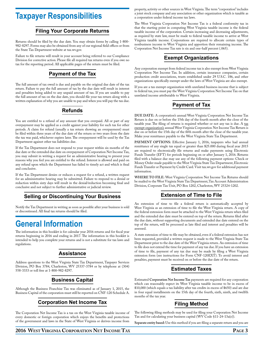### **Taxpayer Responsibilities**

### **Filing Your Corporate Returns**

Returns should be filed by the due date. You may obtain forms by calling 1-800- 982-8297. Forms may also be obtained from any of our regional field offices or from the State Tax Department website at tax.wv.gov.

Failure to file returns will result in your account being referred to our Compliance Division for corrective action. Please file all required tax returns even if you owe no tax for the reporting period. All applicable pages of the return must be filed.

### **Payment of the Tax**

The full amount of tax owed is due and payable on the original due date of the tax return. Failure to pay the full amount of tax by the due date will result in interest and penalties being added to any unpaid amount of tax. If you are unable to pay the full amount of tax on the due date, you should file your tax return along with a written explanation of why you are unable to pay and when you will pay the tax due.

### **Refunds**

You are entitled to a refund of any amount that you overpaid. All or part of any overpayment may be applied as a credit against your liability for such tax for other periods. A claim for refund (usually a tax return showing an overpayment) must be filed within three years of the due date of the return or two years from the date the tax was paid, whichever expires later. The overpayment will be used by the Tax Department against other tax liabilities due.

If the Tax Department does not respond to your request within six months of the due date or the extended due date on overpayment of Corporation Net Income Tax, you may submit in writing a request for an administrative hearing to present your reasons why you feel you are entitled to the refund. Interest is allowed and paid on any refund upon which the Department has failed to timely act and which is final and conclusive.

If the Tax Department denies or reduces a request for a refund, a written request for an administrative hearing may be submitted. Failure to respond to a denial or reduction within sixty days will result in the denial/reduction becoming final and conclusive and not subject to further administrative or judicial review.

### **Selling or Discontinuing Your Business**

Notify the Tax Department in writing as soon as possible after your business is sold or discontinued. All final tax returns should be filed.

# **General Information**

The information in this booklet is for calendar year 2016 returns and for fiscal year returns beginning in 2016 and ending in 2017. The information in this booklet is intended to help you complete your returns and is not a substitute for tax laws and regulations.

### **Assistance**

Address questions to the West Virginia State Tax Department, Taxpayer Services Division, PO Box 3784, Charleston, WV 25337-3784 or by telephone at (304) 558-3333 or toll free at 1-800-982-8297.

### **Business Capital**

Although the Business Franchise Tax was eliminated as of January 1, 2015, the Business Capital of the corporation must still be reported on CNF-120 Schedule A.

### **Corporation Net Income Tax**

The Corporation Net Income Tax is a tax on the West Virginia taxable income of every domestic or foreign corporation which enjoys the benefits and protections of the government and laws in the State of West Virginia or derives income from

property, activity or other sources in West Virginia. The term "corporation" includes a joint stock company and any association or other organization which is taxable as a corporation under federal income tax laws.

The West Virginia Corporation Net Income Tax is a federal conformity tax in that the starting point in computing West Virginia taxable income is the federal taxable income of the corporation. Certain increasing and decreasing adjustments, as required by state law, must be made to federal taxable income to arrive at West Virginia taxable income. Corporations are required to allocate certain types of nonbusiness income to West Virginia and apportion their remaining income. The Corporation Net Income Tax rate is six and one-half percent (.065).

### **Exempt Organizations**

Any corporation exempt from federal income tax is also exempt from West Virginia Corporation Net Income Tax. In addition, certain insurance companies, certain production credit associations, trusts established under 29 U.S.C. 186, and other organizations specifically exempt under the laws of West Virginia are also exempt.

If you are a tax exempt organization with unrelated business income that is subject to federal tax, you must pay the West Virginia Corporation Net Income Tax on that unrelated income attributable to West Virginia.

### **Payment of Tax**

**Due Date:** A corporation's annual West Virginia Corporation Net Income Tax Return is due on or before the 15th day of the fourth month after the close of the taxable year. The filing of returns is required whether or not any tax is due. A tax exempt organization's annual West Virginia Corporation Net Income Tax Return is due on or before the 15th day of the fifth month after the close of the taxable year. Make your remittance payable to the West Virginia State Tax Department.

PAYMENT OPTIONS: Effective January 1, 2016, taxpayers who had annual remittance of any single tax equal or greater than \$25.000 during fiscal year 2015 are required to electronically file returns and make payments using Electronic Funds Transfer (EFT) for periods beginning on or after January 1, 2016. Returns filed with a balance due may use any of the following payment options: Check or Money Order made payable to the West Virginia State Tax Department, Electronic Funds Transfer or Payment by Credit Card. Visit tax.wv.gov for additional payment information.

**Where to file:** West Virginia Corporation Net Income Tax Returns should be mailed to the West Virginia State Tax Department, Tax Account Administration Division, Corporate Tax Unit, PO Box 1202, Charleston, WV 25324-1202.

### **Extension of Time to File**

An extension of time to file a federal return is automatically accepted by West Virginia as an extension of time to file the West Virginia return. A copy of the federal extension form must be attached to the West Virginia return when filed and the extended due date must be entered on top of the return. Returns filed after the due date, without supporting documents and extended due date entered on the top of the return, will be processed as late filed and interest and penalties will be assessed.

A state extension of time to file may be obtained, even if a federal extension has not been requested, provided a written request is made to the West Virginia State Tax Department prior to the due date of the West Virginia return. An extension of time to file does not extend the time for payment of any tax due. If you have an extension of time to file, payment of any tax due may be made by filing a West Virginia extension form (see instructions for Form CNF-120EXT). To avoid interest and penalties, payment must be received on or before the due date of the return.

### **Estimated Taxes**

Estimated **Corporation Net Income Tax** payments are required for any corporation which can reasonably expect its West Virginia taxable income to be in excess of \$10,000 (which equals a tax liability after tax credits in excess of \$650) and are due in four equal installments on the 15th day of the fourth, sixth, ninth, and twelfth months of the tax year.

### **Filing Method**

The following filing methods may be used for filing your Corporation Net Income Tax and for calculating your business capital (WV Code §11-24-13a(e)).

**Separate entity based:** Use this method if you are filing a separate return and you are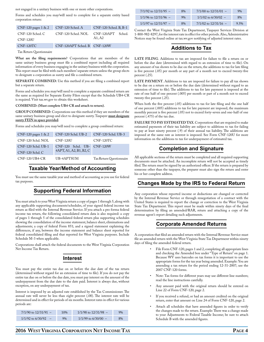not engaged in a unitary business with one or more other corporations.

Forms and schedules you may/will need to complete for a separate entity based corporation return:

| CNF-120 pages $1 & 2$ | CNF-120 Sched. A             | CNF-120 Sched. B, B-1 |
|-----------------------|------------------------------|-----------------------|
| CNF-120 Sched. C      | CNF-120 Sched, NOL           | CNF-120APT Sched.     |
| <b>CNF-120U</b>       |                              | A1.A2                 |
| CNF-120TC             | CNF-120APT Sched. B CNF-120W |                       |

Tax Return Questionnaire

**What are the filing requirements?** Corporations that are members of the same unitary business group must file a combined report including all required information of every business engaging in the unitary business with the corporation. This report must be filed with each members' separate return unless the group elects to designate a corporation as surety and file a combined return.

SEPARATE COMBINED: Use this method if you are filing a combined report but a separate return.

Forms and schedules you may/will need to complete a separate combined return are the same as required for Separate Entity Filers except that the Schedule UB4-CR is required. Visit tax.wv.gov to obtain this worksheet.

#### **Combined: (Must complete UB4-CR and attach to return).**

**Group Combined:** Corporations use this method if they are members of the same unitary business group and elect to designate surety. Taxpayer **must designate surety FEIN in space provided**.

Forms and schedules you may/will need to complete a group combined return:

| CNF-120 pages $1 & 2$                 | CNF-120 Schd. UB-2                                    | CNF-120 Schd. UB-3       |
|---------------------------------------|-------------------------------------------------------|--------------------------|
| CNF-120 Schd. NOL                     | <b>CNF-120U</b>                                       | CNF-120TC                |
| CNF-120 Schd. UB-1<br>CNF-120 Schd. C | CNF-120 Schd. UB- CNF-120W<br>4APT, A1, A2, B1, B2, C |                          |
| CNF-120 UB4-CR                        | UB-4APTSUM                                            | Tax Return Questionnaire |

### **Taxable Year/Method of Accounting**

You must use the same taxable year and method of accounting as you use for federal tax purposes.

### **Supporting Federal Information**

You must attach to your West Virginia return a copy of pages 1 through 5, along with any applicable supporting documents/schedules, of your signed federal income tax return as filed with the Internal Revenue Service. If you attach a pro forma federal income tax return, the following consolidated return data is also required: a copy of pages 1 through 5 of the consolidated federal return plus supporting schedules showing the consolidation of the income statement, balance sheet, eliminations and adjustments; a copy of federal Form 851; and a signed statement explaining the differences, if any, between the income statement and balance sheet reported for federal consolidated filing and that reported for West Virginia purposes. Include Schedule M-3 when applicable.

Corporations shall attach the federal documents to the West Virginia Corporation Net Income Tax Return.

### **Interest**

You must pay the entire tax due on or before the due date of the tax return (determined without regard for an extension of time to file). If you do not pay the entire tax due on or before the due date, you must pay interest on the amount of the underpayment from the due date to the date paid. Interest is always due, without exception, on any underpayment of tax.

Interest is imposed by an adjusted rate established by the Tax Commissioner. The annual rate will never be less than eight percent (.08). The interest rate will be determined and in effect for periods of six months. Interest rates in effect for various periods are:

| $7/1/90$ to $12/31/91$ – | 10% | $1/1/98$ to $12/31/98$ – | 9% |
|--------------------------|-----|--------------------------|----|
| $1/1/92$ to 6/30/92      | 9%  | $1/1/99$ to 6/30/00 –    | 8% |

| $7/1/92$ to $12/31/95$ – | 8% | $7/1/00$ to $12/31/01$ – | $9\%$ |
|--------------------------|----|--------------------------|-------|
| $1/1/96$ to $12/31/96$ – | 9% | $1/1/02$ to 6/30/02 –    | 8%    |
| $1/1/97$ to $12/31/97$ – | 8% | $7/1/02$ to $12/31/16$ - | 9.5%  |

Contact the West Virginia State Tax Department, Taxpayer Services Division at 1-800-982-8297, for the interest rate in effect for other periods. Also, Administrative Notices may be found online at tax.wv.gov notifying of adjusted interest rates.

### **Additions to Tax**

LATE FILING. Additions to tax are imposed for failure to file a return on or before the due date (determined with regard to an extension of time to file). On any amount of tax shown to be due on the return, the additions to tax for late filing is five percent (.05) per month or any part of a month not to exceed twenty-five percent (.25).

LATE PAYMENT. Additions to tax are imposed for failure to pay all tax shown to be due on a return on or before the due date (determined without regard to an extension of time to file). The additions to tax for late payment is imposed at the rate of one half of one percent (.005) per month or part of a month not to exceed twenty-five percent (.25).

When both the five percent (.05) additions to tax for late filing and the one half of one percent (.005) additions to tax for late payment are imposed, the maximum monthly percent is five percent (.05) not to exceed forty-seven and one-half of one percent (.475) of the tax due.

FAILURE TO PAY ESTIMATED TAX. Corporations that are required to make estimated payments of their tax liability are subject to additions to tax for failing to pay at least ninety percent (.9) of their annual tax liability. The additions are imposed at the same rate as interest is imposed. See Form CNF-120U for more information on the additions to tax for underpayment of estimated tax.

### **Completion and Signature**

All applicable sections of the return must be completed and all required supporting documents must be attached. An incomplete return will not be accepted as timely filed. The return must be signed by an authorized officer. If the return is prepared by someone other than the taxpayer, the preparer must also sign the return and enter his or her complete address.

### **Changes Made by the IRS to Federal Return**

Any corporation whose reported income or deductions are changed or corrected by the Internal Revenue Service or through renegotiation of a contract with the United States is required to report the change or correction to the West Virginia State Tax Department. This report must be made within ninety days of the final determination by filing an amended/RAR, return and attaching a copy of the revenue agent's report detailing such adjustments.

### **Corporate Amended Returns**

A corporation that filed an amended return with the Internal Revenue Service must file an amended return with the West Virginia State Tax Department within ninety days of filing the amended federal return.

- File Form CNF-120, pages 1 and 2, completing all appropriate lines and checking the Amended box under "Type of Return" on page 1. Because WV uses barcodes on tax forms it is important to use the appropriate forms for the tax year being amended. Example: You are amending a tax return for the period ending 12-31-2007; use the 2007 CNF-120 forms.
- Note: Tax forms for different years may use different line numbers; read the line instructions carefully.
- Any amount paid with the original return should be entered on Line 22 of Form CNF-120, page 2.
- If you received a refund, or had an amount credited on the original return, enter that amount on Line 24 of Form CNF-120, page 2.
- Attach all schedules that have amended figures in order to verify the changes made to the return. Example: There was a change made to your Adjustments to Federal Taxable Income; be sure to attach Schedule B with the amended figures.

### **2016 West Virginia Corporation Net Income Tax Page 4**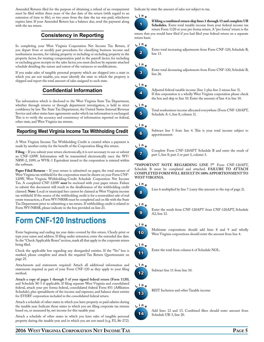Amended Returns filed for the purpose of obtaining a refund of an overpayment must be filed within three years of the due date of the return (with regard to an extension of time to file), or two years from the date the tax was paid, whichever expires later. If your Amended Return has a balance due, send the payment along with the tax return.

### **Consistency in Reporting**

In completing your West Virginia Corporation Net Income Tax Return, if you depart from or modify past procedures for classifying business income and nonbusiness income, for valuing property or including or excluding property in the property factor, for treating compensation paid in the payroll factor, for including or excluding gross receipts in the sales factor, you must disclose by separate attached schedule detailing the nature and extent of the variances or modifications.

If you make sales of tangible personal property which are shipped into a state in which you are not taxable, you must identify the state to which the property is shipped and report the total amount of sales assigned to such state.

### **Confidential Information**

Tax information which is disclosed to the West Virginia State Tax Department, whether through returns or through department investigation, is held in strict confidence by law. The State Tax Department, the United States Internal Revenue Service and other states have agreements under which tax information is exchanged. This is to verify the accuracy and consistency of information reported on federal, other state, and West Virginia tax returns.

### **Reporting West Virginia Income Tax Withholding Credit**

A West Virginia Income Tax Withholding Credit is created when a payment is made by another entity for the benefit of the Corporation filing this return.

**Filing** – If you submit your return electronically, it is not necessary to use or submit an CNF-120W. Information will be transmitted electronically once the WV/ NRW-2, 1099, or WVK-1 Equivalent issued to the corporation is entered within the software.

**Paper Filed Returns** – If your return is submitted on paper, the total amount of West Virginia tax withheld for the corporation must be shown on your Form CNF-120W, West Virginia Withholding-Credit Schedule Corporation Net Income Tax. A completed CNF-120W *must* be enclosed with your paper return. Failure to submit this document will result in the disallowance of the withholding credit claimed. **Note**: Local or municipal fees cannot be claimed as West Virginia income tax withheld. If the source of the withholding credit is for a nonresident sale of real estate transaction, a Form WV/NRSR must be completed and on file with the State Tax Department prior to submitting a tax return. If withholding credit is related to Form WV/NRSR, please indicate in the box provided on line 21.

### **Form CNF-120 Instructions**

Enter beginning and ending tax year dates covered by this return. Clearly print or type your name and address. If filing under extension, enter the extended due date. In the "Check Applicable Boxes" section, mark all that apply to the corporate return being filed.

Check the applicable box regarding any disregarded entities. If the "Yes" box is marked, please complete and attach the required Tax Return Questionnaire on page 25.

Attachments and statements required: Attach all additional information and statements required as part of your Form CNF-120 as they apply to your filing method.

**Attach a copy of pages 1 through 5 of your signed federal return (Form 1120)**, and Schedule M-3 if applicable. If filing separate West Virginia and consolidated federal, attach your pro forma federal, consolidated federal Form 851 (Affiliation Schedule), plus spreadsheets of the income and expenses, and balance sheet entries for EVERY corporation included in the consolidated federal return.

Attach a schedule of other states in which you have property or paid salaries during the taxable year. Indicate those states in which you are filing corporate tax returns based on, or measured by, net income for this taxable year.

Attach a schedule of other states in which you have sales of tangible personal property during the taxable year and in which you are not taxed (e.g. P.L.86-272). Indicate by state the amount of sales not subject to tax.



**If filing a combined return skip lines 1 through 13 and complete UB Schedules.** Enter total taxable income from your federal income tax

return Form 1120 or your pro forma return. A "pro forma" return is the return that you would have filed if you had filed your federal return on a separate return basis.



Enter total increasing adjustments from Form CNF-120, Schedule B, line 13.



Enter total decreasing adjustments from Form CNF-120, Schedule B, line 26.

Adjusted federal taxable income (line 1 plus line 2 minus line 3).







Total nonbusiness income allocated everywhere (Form CNF-120APT, Schedule A-1, line 8, column 3).

### **L <sup>i</sup> <sup>n</sup> <sup>e</sup>**



Subtract line 5 from line 4. This is your total income subject to apportionment.



Complete Form CNF-120APT Schedule B and enter the result of part 1, line 8; part 2 or part 3, column 3.

**\*\*Important note regarding line 7\*\*** Form CNF-120APT, Schedule B must be completed and attached. FAILURE TO ATTACH **completed form will result in 100% apportionment to West Virginia.**



Line 6 multiplied by line 7 (carry this amount to the top of page 2).



Enter the result from CNF-120APT from CNF-120APT, Schedule A2, line 12.

### **L <sup>i</sup> <sup>n</sup> <sup>e</sup>**



Multistate corporations should add lines 8 and 9 and wholly West Virginia corporations should enter the amount from line 4.



Enter the total from column 6 of Schedule NOL.



Subtract line 11 from line 10.



14 **L <sup>i</sup> <sup>n</sup> <sup>e</sup>** REIT Inclusion and other Taxable income

Add lines 12 and 13. Combined filers should enter amount from Schedule UB-3, line 20.

### **2016 West Virginia Corporation Net Income Tax Page 5**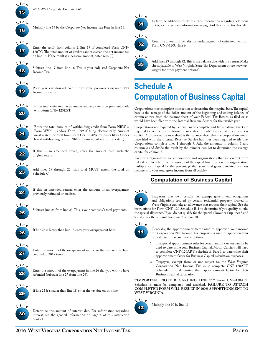

2016 WV Corporate Tax Rate .065.



Multiply line 14 by the Corporate Net Income Tax Rate in line 15.



Enter the result from column 2, line 17 of completed Form CNF-120TC. The total amount of credits cannot exceed the net income tax on line 16. If the result is a negative amount, enter zero (0).



Subtract line 17 from line 16. This is your Adjusted Corporate Net Income Tax.



Prior year carryfoward credit from your previous Corporate Net Income Tax return.



Enter total estimated tax payments and any extension payment made with Form CNF-120EXT.



Enter the total amount of withholding credit from Form NRW-2, Form WVK-1, and/or Form 1099 if filing electronically. Amount must match the total from Form CNF-120W for paper filers. Check box if withholding is from NRSR (nonresident sale of real estate).



If this is an amended return, enter the amount paid with the original return.



Add lines 19 through 22. This total MUST match the total on Schedule C.



If this an amended return, enter the amount of an overpayment previously refunded or credited.



Subtract line 24 from line 23. This is your company's total payments.



If line 25 is larger than line 18 enter your overpayment here.



Enter the amount of the overpayment in line 26 that you wish to have credited to 2017 taxes.



Enter the amount of the overpayment in line 26 that you wish to have refunded (subtract line 27 from line 26).



If line 25 is smaller than line 18, enter the tax due on this line.



Determine the amount of interest due. For information regarding interest, see the general information on page 4 of this instruction booklet.



Determine additions to tax due. For information regarding additions to tax, see the general information on page 4 of this instruction booklet.

### **L <sup>i</sup> <sup>n</sup> <sup>e</sup>**



Enter the amount of penalty for underpayment of estimated tax from Form CNF-120U, line 6



Add lines 29 through 32. This is the balance due with this return. Make check payable to West Virginia State Tax Department or see www.tax. wv.gov for other payment options".

# **Schedule A Computation of Business Capital**

Corporations must complete this section to determine their capital base. The capital base is the average of the dollar amount of the beginning and ending balance of certain entries from the balance sheet of your Federal Tax Return as filed or as would have been filed with the Internal Revenue Service for the taxable year.

Corporations not required by Federal law to complete and file a balance sheet are required to complete a pro forma balance sheet in order to calculate their business capital. A pro forma balance sheet is the balance sheet that the corporation would have filed with the Internal Revenue Service had they been required to file one. Corporations complete lines 1 through 7. Add the amounts in column 1 and column 2 and divide the result by the number two (2) to determine the average capital for column 3.

Exempt Organizations are corporations and organizations that are exempt from federal tax. To determine the amount of the capital base of an exempt organization, multiply your capital by the percentage that your total gross unrelated business income is to your total gross income from all activity.

### **Computation of Business Capital**



Taxpayers that own certain tax exempt government obligations and obligations secured by certain residential property located in West Virginia can take an allowance that reduces their capital. See the instructions for Form CNF-120 Schedule B-1 to determine if you qualify to take the special allowance. If you do not qualify for the special allowance skip lines 8 and 9 and enter the amount from line 7 on line 10.



Generally, the apportionment factor used to apportion your income for Corporation Net Income Tax purposes is used to apportion your capital base. There are two exceptions:

- 1. The special apportionment rules for certain motor carriers cannot be used to determine your Business Capital. Motor Carriers will need to complete CNF-120APT Schedule B, Part 1 to determine their apportionment factor for Business Capital calculation purposes.
- 2. Taxpayers, exempt from, or not subject to, the West Virginia Corporation Net Income Tax must complete CNF-120APT, Schedule B to determine their apportionment factor for their Business Capital calculation.

**\*\*Important note regarding line 11\*\*** Form CNF-120APT, Schedule B must be completed and attached. FAILURE TO ATTACH **completed form will result in 100% apportionment to West Virginia.**



Multiply line 10 by line 11.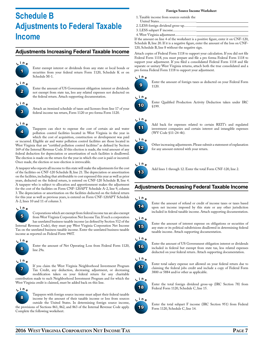# **Schedule B Adjustments to Federal Taxable Income**

### **Adjustments Increasing Federal Taxable Income**



Enter exempt interest or dividends from any state or local bonds or securities from your federal return Form 1120, Schedule K or on Schedule M-1.



Enter the amount of US Government obligation interest or dividends not exempt from state tax, less any related expenses not deducted on the federal return. Attach supporting documentation.



Attach an itemized schedule of taxes and licenses from line 17 of your federal income tax return, Form 1120 or pro forma Form 1120.



Taxpayers can elect to expense the cost of certain air and water

pollution control facilities located in West Virginia in the year in which the cost of acquisition, construction or development was paid or incurred. Eligible air and water pollution control facilities are those located in West Virginia that are "certified pollution control facilities" as defined by Section 169 of the Internal Revenue Code. If this election is made, the total amount of any federal deduction for depreciation or amortization of such facilities is disallowed. The election is made on the return for the year in which the cost is paid or incurred. Once made, the election or non-election is irrevocable.

A taxpayer who reports all income to this state will make the adjustments for the cost of the facilities on CNF-120 Schedule B, line 21. The depreciation or amortization on the facilities, including that attributable to cost expensed this year as well as prior years, deducted on the federal return, is entered on CNF-120 Schedule B, line 4. A taxpayer who is subject to allocation and apportionment makes the adjustment for the cost of the facilities on Form CNF-120APT Schedule A-2, line 9, column 3. The depreciation or amortization on the facilities deducted on the federal return for this year as well as previous years, is entered on Form CNF-120APT Schedule A-2, lines 10 and 11 of column 3.

### 5 **L <sup>i</sup> <sup>n</sup> <sup>e</sup>**

Corporations which are exempt from federal income tax are also exempt from West Virginia Corporation Net Income Tax. If such a corporation has unrelated business taxable income (as defined by Section 512 of the Internal Revenue Code), they must pay West Virginia Corporation Net Income

Tax on the unrelated business taxable income. Enter the unrelated business taxable income as reported on Federal Form 990T.



Enter the amount of Net Operating Loss from Federal Form 1120, line 29a.



If you claim the West Virginia Neighborhood Investment Program Tax Credit, any deduction, decreasing adjustment, or decreasing modification taken on your federal return for any charitable

contribution made to such Neighborhood Investment Program and for which the West Virginia credit is claimed, must be added back on this line.



Taxpayers with foreign source income must adjust their federal taxable income by the amount of their taxable income or loss from sources outside the United States. In determining foreign source income,

the provisions of Sections 861, 862, and 863 of the Internal Revenue Code apply. Complete the following worksheet.

#### **Foreign Source Income Worksheet**

- 1. Taxable income from sources outside the
- United States...........................................
- 2. LESS foreign dividend gross-up.............. 3. LESS subpart F income...........................
- 4. West Virginia adjustment........................

1120.

If the amount on line 4 of the worksheet is a positive figure, enter it on CNF-120, Schedule B, line 20. If it is a negative figure, enter the amount of the loss on CNF-120, Schedule B, line 8 without the negative sign.

Attach copies of Federal Form 1118 to support your calculation. If you did not file Federal Form 1118, you must prepare and file a pro forma Federal Form 1118 to support your adjustment. If you filed a consolidated Federal Form 1118 and file separate or unitary West Virginia returns, attach both the true consolidated and a pro forma Federal Form 1118 to support your adjustment.



 $\boldsymbol{9}$ 



10

Enter Qualified Production Activity Deduction taken under IRC §199.

Enter the amount of foreign taxes as deducted on your Federal Form

### **L <sup>i</sup> <sup>n</sup> <sup>e</sup>**



Add back for expenses related to certain REIT's and regulated investment companies and certain interest and intangible expenses (WV Code §11-24-4b).



Other increasing adjustments. Please submit a statement of explanation for any amount entered with your return.

### 13 **L <sup>i</sup> <sup>n</sup> <sup>e</sup>**

Add lines 1 through 12. Enter the total Form CNF-120, line 2.

### **Adjustments Decreasing Federal Taxable Income**

#### **L <sup>i</sup> <sup>n</sup> <sup>e</sup>**



Enter the amount of refund or credit of income taxes or taxes based upon net income imposed by this state or any other jurisdiction included in federal taxable income. Attach supporting documentation.



Enter the amount of interest expense on obligations or securities of any state or its political subdivisions disallowed in determining federal taxable income. Attach supporting documentation.



Enter the amount of US Government obligation interest or dividends included in federal but exempt from state tax, less related expenses deducted on your federal return. Attach supporting documentation.



Enter total salary expense not allowed on your federal return due to claiming the federal jobs credit and include a copy of Federal Form 3800 or 5884 and/or other as applicable.



Enter the total foreign dividend gross-up (IRC Section 78) from Federal Form 1120, Schedule C, line 15.

### **L <sup>i</sup> <sup>n</sup> <sup>e</sup>**



Enter the total subpart F income (IRC Section 951) from Federal Form 1120, Schedule C, line 14.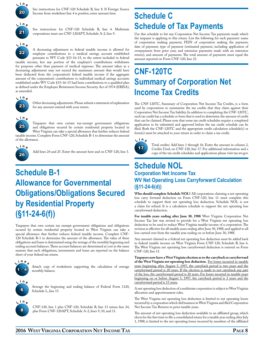

See instructions for CNF-120 Schedule B, line 8. If Foreign Source Income from worksheet line 4 is positive, enter amount here.



See instructions for CNF-120 Schedule B, line 4. Multistate corporations must use CNF-120APT, Schedule A-2, line 9.



A decreasing adjustment to federal taxable income is allowed for employer contributions to a medical savings account established

pursuant to WV Code §33-16-15, to the extent included in federal taxable income, less any portion of the employer's contributions withdrawn for purposes other than payment of medical expenses. The amount taken as a decreasing adjustment may not exceed the maximum amount that would have been deducted from the corporation's federal taxable income if the aggregate amount of the corporation's contributions to individual medical savings accounts established under WV Code §33-16-15 had been contributions to a qualified plan as defined under the Employee Retirement Income Security Act of 1974 (ERISA),



as amended.

Other decreasing adjustments. Please submit a statement of explanation for any amount entered with your return.



Taxpayers that own certain tax-exempt government obligations and obligations secured by certain residential property located in West Virginia can take a special allowance that further reduces federal taxable income. Complete Form CNF-120, Schedule B-1 to determine the amount



of the allowance.

Add lines 24 and 25. Enter the amount here and on CNF-120, line 3.

# **Schedule B-1 Allowance for Governmental Obligations/Obligations Secured by Residential Property (§11-24-6(f))**

Taxpayers that own certain tax exempt government obligations and obligations secured by certain residential property located in West Virginia can take a special allowance that further reduces federal taxable income. Complete CNF-120 Schedule B-1 to determine the amount of the allowance. The value of these obligations and loans is determined using the average of the monthly beginning and ending account balances. These account balances are determined at cost in the same manner that such obligations, investments and loans are reported on the balance sheet of your federal tax return.



Attach copy of worksheets supporting the calculation of average monthly balance.



Average the beginning and ending balance of Federal Form 1120, Schedule L, line 15.



CNF-120, line 1 plus CNF-120, Schedule B, line 13 minus line 24, plus Form CNF-120APT, Schedule A-2, lines 9, 10, and 11.

# **Schedule C Schedule of Tax Payments**

Use this schedule to list any Corporation Net Income Tax payments made which the taxpayer is applying to this return. List the following for each payment: name of corporation making payment; FEIN of corporation making the payment; date of payment; type of payment (estimated payment, including application of overpayment from prior year, and extension payments made with an extension return); and amount of payments. The total amount of payments must equal the amount reported on Form CNF-120, line 23.

# **CNF-120TC Summary of Corporation Net Income Tax Credits**

The CNF-120TC, Summary of Corporation Net Income Tax Credits, is a form used by corporations to summarize the tax credits that they claim against their Corporation Net Income Tax liability. In addition to completing the CNF-120TC, each tax credit has a schedule or form that is used to determine the amount of credit that can be claimed. Please note that some tax credit schedules require a completed application to be submitted and approved before the tax credit schedule can be filed. Both the CNF-120TC and the appropriate credit calculation schedule(s) or form(s) must be attached to your return in order to claim a tax credit.



Total credits: Add lines 1 through 16. Enter the amount in column 2, Credits Used, on CNF-120, line 17. For additional information and a copy of the tax credit schedules and applications please visit tax.wv.gov.

# **Schedule NOL**

### **Corporation Net Income Tax WV Net Operating Loss Carryforward Calculation (§11-24-6(d))**

**Who should complete Schedule NOL?** All corporations claiming a net operating loss carry forward deduction on Form CNF-120, line 11 must complete this schedule to support their net operating loss deduction. Schedule NOL is not a claim for refund. It is a calculation schedule to support the net operating loss carryforward deduction.

**For taxable years ending after June 30, 1988** West Virginia Corporation Net Income Tax law was revised to provide for a West Virginia net operating loss deduction to be used to reduce West Virginia taxable income of a corporation. The revision is effective for all taxable years ending after June 30, 1988, and applied to all loss carried over from the taxable year ending on or before June 30, 1988.

Any amount claimed as a federal net operating loss deduction must be added back to federal taxable income on West Virginia Form CNF-120, Schedule B, line 6. The West Virginia net operating loss carryforward deduction is entered on Form CNF-120, line 11.

**Taxpayers now have a West Virginia election as to the carryback or carryforward of the West Virginia net operating loss deduction.** For losses incurred in taxable years beginning after August 5, 1997, the carryback period is two years and the carryforward period is 20 years. If the election is made to not carryback any part of the loss, the carryforward period is 20 years. For losses incurred in taxable years beginning on or before August 5, 1997, the carryback period is 3 years and the carryforward period is 15 years.

A net operating loss deduction of a multistate corporation is subject to West Virginia allocation and apportionment rules.

The West Virginia net operating loss deduction is limited to net operating losses incurred by a corporation which did business in West Virginia and filed Corporation Net Income Tax Returns in prior taxable years.

The amount of net operating loss deduction available to an affiliated group, which elects for the first time to file a consolidated return for a taxable year ending after July 1, 1988, is limited to the net operating losses incurred by members of the affiliated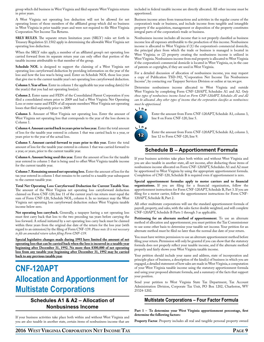group which did business in West Virginia and filed separate West Virginia returns in prior years.

A West Virginia net operating loss deduction will not be allowed for net operating losses of those members of the affiliated group which did no business in West Virginia in prior taxable years and were not required to file West Virginia Corporation Net Income Tax Returns.

**SRLY RULES**. The separate return limitation years (SRLY) rules set forth in Treasury Regulation §1.1502 apply in determining the allowable West Virginia net operating loss deduction.

When the SRLY rules apply, a member of an affiliated group's net operating loss carried forward from its separate return year can only offset that portion of the taxable income attributable to that member of the group.

**Schedule NOL** is designed to support the claiming of a West Virginia net operating loss carryforward deduction by providing information on the year of the loss and how the loss was/is being used. Enter on Schedule NOL those loss years that give rise to the current taxable year's net operating loss carryforward deduction.

**Column 1. Year of loss**. Enter in column 1 the applicable tax year ending date(s) for the year(s) that you had net operating loss(es).

**Column 2.** Enter name and FEIN of the Consolidated Parent Corporation if you filed a consolidated return prior to 2009 and had a West Virginia Net Operating Loss or enter name and FEIN of all separate members' West Virginia net operating losses that filed separately prior to 2009.

**Column 3.** Amount of West Virginia net operating loss. Enter the amount of West Virginia net operating loss that corresponds to the year of the loss shown in Column 1.

**Column 4. Amount carried back to years prior to loss year.** Enter the total amount of loss for the taxable year entered in column 1 that was carried back to a year, or years prior to the year of the actual loss.

**Column 5. Amount carried forward to years prior to this year.** Enter the total amount of loss for the taxable year entered in column 1 that was carried forward to a year, or years, prior to the current taxable year.

**Column 6. Amount being used this year.** Enter the amount of loss for the taxable year entered in column 1 that is being used to offset West Virginia taxable income for the current taxable year.

**Column 7. Remaining unused net operating loss.** Enter the amount of loss for the tax year entered in column 1 that remains to be carried to a taxable year subsequent to the current taxable year.

**Total Net Operating Loss Carryforward Deduction for Current Taxable Year.** The amount of the West Virginia net operating loss carryforward deduction claimed on Form CNF-120, line 11 of the current year's tax return must equal the sum of Form CNF-120, Schedule NOL, column 6. In no instance may the West Virginia net operating loss carryforward deduction reduce West Virginia taxable income below zero.

**Net operating loss carryback.** Generally, a taxpayer having a net operating loss must first carry back that loss to the two preceding tax years before carrying the loss forward. A refund initiated by a net operating loss carry back must be claimed within three years from the original due date of the return for the loss year (with regard to an extension) by the filing of Form CNF-139. *Please note: It is not necessary to file an amended return when filing Form CNF-139.*

**Special legislative changes made during 1993 have limited the amount of net operating loss that can be carried back when the loss is incurred in a taxable year beginning after December 31, 1992. No more then \$300,000 of net operating loss from any taxable year beginning after December 31, 1992 may be carried back to any previous taxable year.**

# **CNF-120APT Allocation and Apportionment for Multistate Corporations**

### **Schedules A1 & A2 – Allocation of Nonbusiness Income**

If your business activities take place both within and without West Virginia and you are also taxable in another state, certain items of nonbusiness income that are included in federal taxable income are directly allocated. All other income must be apportioned.

Business income arises from transactions and activities in the regular course of the corporation's trade or business, and include income from tangible and intangible property if the acquisition, management or disposition of the property constitutes integral parts of the corporation's trade or business.

Nonbusiness income includes all income that is not properly classified as business income less all expenses attributable to the production of this income. Nonbusiness income is allocated to West Virginia if (1) the corporation's commercial domicile, the principal place from which the trade or business is managed is located in West Virginia; or (2) property creating the nonbusiness income is utilized in West Virginia. Nonbusiness income from real property is allocated to West Virginia if the corporation's commercial domicile is located in West Virginia, or, in the case of patents or copyrights, if they are used in West Virginia.

For a detailed discussion of allocation of nonbusiness income, you may request a copy of Publication TSD-392, "Corporation Net Income Tax Nonbusiness Income", by contacting our Taxpayer Services Division or online at tax.wv.gov.

Determine nonbusiness income allocated to West Virginia and outside West Virginia by completing Form CNF-120APT, Schedules A1 and A2. *Only those types of nonbusiness income listed on Form CNF-120APT, Schedules A1 and A2 can be allocated. Any other types of income that the corporation classifies as nonbusiness must be apportioned.*



Enter the amount from Form CNF-120APT, Schedule A1, column 3, line 8 on Form CNF-120, line 5.



Enter the amount from Form CNF-120APT, Schedule A2, column 3, line 12 to Form CNF-120, line 9.

### **Schedule B – Apportionment Formula**

If your business activities take place both within and without West Virginia and you are also taxable in another state, all net income, after deducting those items of nonbusiness income allocated on Form CNF-120APT, Schedules A1 and A2 must be apportioned to West Virginia by using the appropriate apportionment formula. Completion of CNF-120, Schedule B is required even if apportionment is zero.

**Special apportionment formulas apply to motor carriers and to financial organizations.** If you are filing for a financial organization, follow the apportionment instructions for Form CNF-120APT, Schedule B, Part 3. If you are filing for a motor carrier, follow the apportionment instructions for Form CNF-120APT, Schedule B, Part 2.

All other multistate corporations will use the standard apportionment formula of payroll, property, and sales, with the sales factor double weighted, and will complete CNF-120APT, Schedule B Parts 1 through 3 as applicable.

**Petitioning for an alternate method of apportionment**. To use an alternate method of allocation and apportionment, you must petition the Tax Commissioner to use some other basis to determine your taxable net income. Your petition for an alternate method must be filed no later than the normal due date of your return.

You must have written permission to use an alternate apportionment method before filing your return. Permission will only be granted if you can show that the statutory formula does not properly reflect your taxable income, and if the alternate method properly and fairly shows your West Virginia taxable income.

Your petition should include your name and address, state of incorporation and principle place of business, a description of the kind(s) of business in which you are engaged, a detailed statement of how sales are made in West Virginia, a computation of your West Virginia taxable income using the statutory apportionment formula and using your proposed alternate formula, and a summary of the facts that support your position.

Send your petition to West Virginia State Tax Department, Tax Account Administration Division, Corporate Tax Unit, PO Box 1202, Charleston, WV 25324-1202.

### **Multistate Corporations – Four Factor Formula**

**Part 1 – To determine your West Virginia apportionment percentage, first determine the following factors:**

**Property Factor**. Property includes all real and tangible personal property owned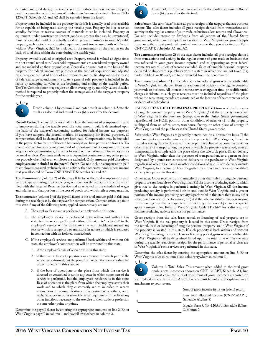or rented and used during the taxable year to produce business income. Property used in connection with the items of nonbusiness income allocated in Form CNF-120APT, Schedule A1 and A2 shall be excluded from the factor.

Property must be included in the property factor if it is actually used or is available for or capable of being used during the taxable year. Property held as reserves, standby facilities or reserve sources of materials must be included. Property or equipment under construction (except goods in process that can be inventoried) must be excluded until it is actually used to generate business income. Movable property, such as tools, construction equipment and trucks, used both within and without West Virginia, shall be included in the numerator of the fraction on the basis of total time within the state during the taxable year.

Property owned is valued at original cost. Property rented is valued at eight times the net annual rental rate. Leasehold improvements are considered property owned and are included at their original cost. Generally, original cost is the basis of the property for federal income tax purposes at the time of acquisition and adjusted by subsequent capital additions of improvements and partial dispositions by reason of sale, exchange, abandonment, etc. As a general rule, property is included in the factor by averaging its value at the beginning and ending of the taxable period. The Tax Commissioner may require or allow averaging by monthly values if such a method is required to properly reflect the average value of the taxpayer's property for the taxable year.



Divide column 1 by column 2 and enter result in column 3. State the result as a decimal and round to six (6) places after the decimal.

**Payroll Factor**. The payroll factor shall include the amount of compensation paid to employees during the taxable year. The total amount paid is determined upon the basis of the taxpayer's accounting method for federal income tax purposes. If you have adopted the accrual method of accounting for federal purposes, all compensation shall be deemed to have been paid. Compensation may be included in the payroll factor by use of the cash basis only if you have permission from the Tax Commissioner for an alternate method of apportionment. Compensation means wages, salaries, commissions, and other forms of remuneration paid to employees for personal services. Payments made to an independent contractor or any other person not properly classified as an employee are excluded. **Only amounts paid directly to employees are included in the payroll factor**. Do not include compensation paid to employees engaged exclusively in an activity that generates nonbusiness income that you allocated on Form CNF-120APT, Schedules A1 and A2.

**The denominator** (column 2) of the payroll factor is the total compensation paid by the taxpayer during the taxable year, as shown on the federal income tax return filed with the Internal Revenue Service and as reflected in the schedule of wages and salaries and that portion of the cost of goods sold which reflect compensation.

**The numerator** (column 1) of the payroll factor is the total amount paid in this state during the taxable year by the taxpayer for compensation. Compensation is paid in this state if any of the following tests, applied consecutively, are met:

- A. The employee's service is performed entirely within this state;
- B. The employee's service is performed both within and without this state, but the service performed without this state is "incidental" to the employee's service within this state (the word incidental means any service which is temporary or transitory in nature or which is rendered in connection with an isolated transaction);
- C. If the employee's services are performed both within and without this state, the employee's compensation will be attributed to this state:
	- 1. if the employee's base of operations is in this state;
	- 2. if there is no base of operations in any state in which part of the service is performed, but the place from which the service is directed or controlled is in this state; or
	- 3. if the base of operations or the place from which the service is directed or controlled is not in any state in which some part of the service is performed, but the employee's residence is in this state. Base of operation is the place from which the employee starts their work and to which they customarily return in order to receive instructions or communications from customers or others, or to replenish stock or other materials, repair equipment, or perform any other functions necessary to the exercise of their trade or profession at some other point or points.

Determine the payroll factor by entering the appropriate amounts on line 2. Enter West Virginia payroll in column 1 and payroll everywhere in column 2.



Divide column 1 by column 2 and enter the result in column 3. Round to six (6) places after the decimal.

**Sales factor.** The term "sales" means all gross receipts of the taxpayer that are business income. The sales factor includes all gross receipts derived from transactions and activity in the regular course of your trade or business, less returns and allowances. Do not include interest or dividends from obligations of the United States government, which are exempt from taxation in West Virginia, or gross receipts from an activity that produced nonbusiness income that you allocated on Form CNF-120APT, Schedules A1 and A2.

**The denominator (column 2)** of the sales factor includes all gross receipts derived from transactions and activity in the regular course of your trade or business that was reflected in your gross income reported and as appearing on your federal income tax return unless otherwise excluded. Sales of tangible personal property delivered or shipped to a purchaser within a state in which you are not taxed (e.g. under Public Law 86-272) are to be excluded from the denominator.

**The numerator (column 1)** of the sales factor includes all gross receipts attributable to West Virginia and derived from transactions and activity in the regular course of your trade or business. All interest income, service charges or time-price differential charges incidental to such gross receipts must be included regardless of the place where the accounting records are maintained or the location of the contract or other evidence of indebtedness.

**Sales of tangible personal property.** Gross receipts from sales of tangible personal property are in West Virginia (1) if the property is received in West Virginia by the purchaser (except sales to the United States government) regardless of the F.O.B. point or other conditions of sales; or (2) if the property is shipped from an office, store, warehouse, factory, or other place of storage in West Virginia and the purchaser is the United States government.

Sales within West Virginia are generally determined on a destination basis. If the purchaser picks up or otherwise receives the property in West Virginia, the sale is treated as taking place in this state. If the property is delivered by common carrier or other means of transportation, the place at which the property is received, after all transportation is completed, is the place where the sale took place. Direct delivery in West Virginia, other than for purposes of transportation, to a person or firm designated by a purchaser, constitutes delivery to the purchaser in West Virginia regardless of where title passes or other conditions of sale. Direct delivery outside West Virginia, to a person or firm designated by a purchaser, does not constitute delivery to a person in this state.

Other sales. Gross receipts from transactions other than sales of tangible personal property are attributable to West Virginia if (1) the income producing activity which gives rise to the receipts is performed entirely in West Virginia; (2) the income producing activity is performed both in and outside West Virginia and a greater portion of the income producing activity is performed in this state than in any other state, based on cost of performance; or (3) if the sale constitutes business income to the taxpayer, or the taxpayer is a financial organization subject to the special apportionment rules. Refer to West Virginia Code §11-24-7 for a discussion of income producing activity and cost of performance.

Gross receipts from the sale, lease, rental, or licensing of real property are in West Virginia if the real property is located in this state. Gross receipts from the rental, lease or licensing of tangible personal property are in West Virginia if the property is located in this state. If such property is both within and without West Virginia during the rental, lease or licensing period, gross receipts attributable to West Virginia shall be determined based upon the total time within the state during the taxable year. Gross receipts for the performance of personal services are in West Virginia if such services are performed in this state.

Determine the sales factor by entering the appropriate amount on line 3. Enter West Virginia sales in column 1 and sales everywhere in column 2.



Column 2. Total Sales. This amount when added to the total gross nonbusiness income as shown on CNF-120APT, Schedule A1, line 8, must equal the sum of your items of gross income as reported on

your federal income tax return. Any differences must be noted and explained in an attachment to your return.

| Sum of gross income items on federal return                      |  |
|------------------------------------------------------------------|--|
| Less total allocated income (CNF-120APT,<br>Schedule A1, line 8) |  |
| Equals Form CNF-120APT, Schedule B, line<br>$3$ , column $2$ .   |  |
|                                                                  |  |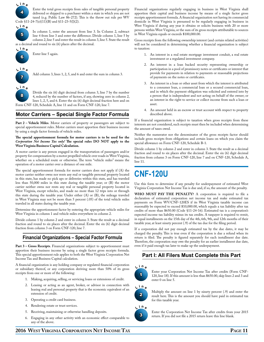

Enter the total gross receipts from sales of tangible personal property delivered or shipped to a purchaser within a state in which you are not taxed (e.g. Public Law 86-272). This is the throw out rule per WV Code §11-24-7(e)(11)(B) and §11-23-5(l)(2).



In column 1, enter the amount from line 3. In Column 2, subtract line 4 from line 3 and enter the difference. Divide column 1, line 5 by column 2, line 5 and enter the result in column 3, line 5. State the result as a decimal and round to six (6) places after the decimal.



Enter line 5 again.



8

Add column 3, lines 1, 2, 5, and 6 and enter the sum in column 3.

Divide the six (6) digit decimal from column 3, line 7 by the number 4, reduced by the number of factors, if any, showing zero in column 2, lines 1, 2, 5, and 6. Enter the six (6) digit decimal fraction here and on Form CNF-120, Schedule A, line 11 and on Form CNF-120, line 7.

### **Motor Carriers – Special Single Factor Formula**

**Part 2 – Vehicle Miles**. Motor carriers of property or passengers are subject to special apportionment rules. Motor carriers must apportion their business income by using a single factor formula of vehicle miles.

#### **The special apportionment formula for motor carriers is to be used for the**  *Corporation Net Income Tax only!* **The special rules DO NOT apply to the West Virginia Business Capital Calculation.**

A motor carrier is any person engaged in the transportation of passengers and/or property for compensation by a motor propelled vehicle over roads in West Virginia, whether on a scheduled route or otherwise. The term "vehicle miles" means the operation of a motor carrier over a distance of one mile.

The special apportionment formula for motor carriers does not apply if (A) the motor carrier neither owns nor rents any real or tangible personal property located in this state, has made no pick ups or deliveries within this state, and has traveled less than 50,000 miles in this state during the taxable year; or (B) the motor carrier neither owns nor rents any real or tangible personal property located in West Virginia, except vehicles, and made no more than 12 trips into or through this state during the taxable year. Under either (A) or (B), the mileage traveled in West Virginia may not be more than 5 percent (.05) of the total vehicle miles traveled in all states during the taxable year.

Determine the apportionment factor by entering the appropriate vehicle miles for West Virginia in column 1 and vehicle miles everywhere in column 2.

Divide column 1 by column 2 and enter in column 3. State the result as a decimal fraction and round to six places after the decimal. Enter the six (6) digit decimal fraction from column 3 on Form CNF-120, line 7.

### **Financial Organizations – Special Factor Formula**

Part 3 – Gross Receipts. Financial organizations subject to apportionment must apportion their business income by using a single factor gross receipts formula. This special apportionment rule applies to both the West Virginia Corporation Net Income Tax and Business Capital calculation.

A financial organization is any holding company or regulated financial corporation or subsidiary thereof, or any corporation deriving more than 50% of its gross receipts from one or more of the following:

- 1. Making, acquiring, selling, or servicing loans or extensions of credit.
- 2. Leasing or acting as an agent, broker, or advisor in connection with leasing real and personal property that is the economic equivalent of an extension of credit.
- 3. Operating a credit card business.
- 4. Rendering estate or trust services.
- 5. Receiving, maintaining or otherwise handling deposits.
- 6. Engaging in any other activity with an economic effect comparable to any of the above.

Financial organizations regularly engaging in business in West Virginia shall apportion their capital and business income by means of a single factor gross receipts apportionment formula. A financial organization not having its commercial domicile in West Virginia is presumed to be regularly engaging in business in West Virginia if during any year it obtains or solicits business with 20 or more persons within West Virginia, or the sum of its gross receipts attributable to sources in West Virginia equals or exceeds \$100,000.00.

Gross receipts from the following ownership interest (and certain related activities) will not be considered in determining whether a financial organization is subject to taxation:

- 1. An interest in a real estate mortgage investment conduit, a real estate investment or a regulated investment company.
- 2. An interest in a loan backed security representing ownership or participation in a pool of promissory notes or certificates or interest that provide for payments in relation to payments or reasonable projections of payments on the notes or certificates.
- 3. An interest in a loan or other asset from which the interest is attributed to a consumer loan, a commercial loan or a secured commercial loan, and in which the payment obligation was solicited and entered into by a person that is independent and not acting on behalf of the owner; or an interest in the right to service or collect income from such a loan or asset.
- 4. An amount held in an escrow or trust account with respect to property described above.

If a financial organization is subject to taxation when gross receipts from these interests are not considered, such receipts must then be included when determining the amount of taxes owed.

Neither the numerator nor the denominator of the gross receipts factor should include gross receipts from obligations and certain loans on which you claim the special allowance on Form CNF-120, Schedule B-1.

Divide column 1 by column 2 and enter in column 3. State the result as a decimal fraction and round to six places after the decimal. Enter the six (6) digit decimal fraction from column 3 on Form CNF-120, line 7 and on CNF-120, Schedule A, line 11.

# **CNF-120U**

Use this form to determine if any penalty for underpayment of estimated West Virginia Corporation Net Income Tax is due and, if so, the amount of the penalty.

**Who must pay the penalty?** A corporation is required to file a declaration of estimated corporation net income tax and make estimated tax payments on Form WV/CNF-120ES if its West Virginia taxable income can reasonably be expected to exceed \$10,000.00, which equals a tax liability after tax credits of more than \$650.00 (Code §11-24-16). Estimated tax is a corporation's expected income tax liability minus its tax credits. A taxpayer is required to remit, in equal installments on the 15th day of the 4th, 6th, 9th, and 12th months of their taxable year, at least ninety percent (.9) of the tax due for the filing period.

If a corporation did not pay enough estimated tax by the due dates, it may be charged the penalty. This is true even if the corporation is due a refund when its return is filed. The penalty is figured separately for each installment due date. Therefore, the corporation may owe the penalty for an earlier installment due date, even if it paid enough tax later to make up the underpayment.

### **Part I: All Filers Must Complete this Part**

#### **L <sup>i</sup> <sup>n</sup> <sup>e</sup>**



Enter your Corporation Net Income Tax after credits (Form CNF-120, line 18). If this amount is less than \$650.00, skip lines 2 and 3 and enter 0 on line 5.



Multiply the amount on line 1 by ninety percent (.9) and enter the result here. This is the amount you should have paid in estimated tax for this taxable year.



Enter the Corporation Net Income Tax after credits from your 2015 return. If you did not file a 2015 return leave this line blank.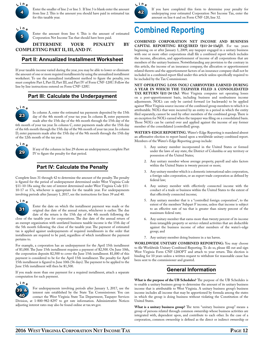

Enter the smaller of line 2 or line 3. If line 3 is blank enter the amount from line 2. This is the amount you should have paid in estimated tax for this taxable year.

5 **L <sup>i</sup> <sup>n</sup> <sup>e</sup>**

Enter the amount from line 4. This is the amount of estimated Corporation Net Income Tax that should have been paid.

**Determine your penalty by completing part II, III, and IV.**

### **Part II: Annualized Installment Worksheet**

If your taxable income varied during the year, you may be able to lower or eliminate the amount of one or more required installments by using the annualized installment worksheet. To use the annualized installment method to figure the penalty, you must complete Part I, Part II, Part III, and Part IV of Form CNF-120U. Follow the line by line instructions entered on Form CNF-120U.

### **Part III: Calculate the Underpayment**

**L <sup>i</sup> <sup>n</sup> <sup>e</sup>**

23 In column A, enter the estimated tax payments deposited by the 15th day of the 4th month of your tax year. In column B, enter payments made after the 15th day of the 4th month through the 15th day of the 6th month of your tax year. In column C, enter payments made after the 15th day of the 6th month through the 15th day of the 9th month of your tax year. In column D, enter payments made after the 15th day of the 9th month through the 15th day of the 12th month of the tax year.



If any of the columns in line 29 shows an underpayment, complete Part IV to figure the penalty for that period.

### **Part IV: Calculate the Penalty**

Complete lines 31 through 42 to determine the amount of the penalty. The penalty is figured for the period of underpayment determined under West Virginia Code §11-10-18a using the rate of interest determined under West Virginia Code §11-10-17 or 17a, whichever is appropriate for the taxable year. For underpayments involving periods after January 1, 2017, see the instructions for lines 39 and 40.



Enter the date on which the installment payment was made or the original due date of the annual return, whichever is earlier. The due date of the return is the 15th day of the 4th month following the

close of the taxable year for corporations. The due date of the annual return of an exempt organization with unrelated business taxable income is the 15th day of the 5th month following the close of the taxable year. The payment of estimated tax is applied against underpayments of required installments in the order that installments are required to be paid, regardless of which installment the payment pertains to.

For example, a corporation has an underpayment for the April 15th installment of \$1,000. The June 15th installment requires a payment of \$2,500. On June 10th, the corporation deposits \$2,500 to cover the June 15th installment. \$1,000 of this payment is considered to be for the April 15th installment. The penalty for April 15th installment is figured to June 10th (56 days). The payment to be applied to the June 15th installment will then be \$1,500.

If you made more than one payment for a required installment, attach a separate computation for each payment.



For underpayments involving periods after January 1, 2017, use the interest rate established by the State Tax Commissioner. You can contact the West Virginia State Tax Department, Taxpayer Services Division, at 1-800-982-8297 to get rate information. Administrative Notices adjusting interest rates may also be found online at tax.wv.gov.



If you have completed this form to determine your penalty for underpaying your estimated Corporation Net Income Tax, enter the amount on line 6 and on Form CNF-120, line 32.

# **Combined Reporting**

**Combined corporation net income and business capital reporting required (§11-24-13a(j)).** For tax years beginning on or after January 1, 2009, any taxpayer engaged in a unitary business with one or more other corporations shall file a combined report which includes the income, allocation, and apportionment of income of all corporations that are members of the unitary business. Notwithstanding any provision to the contrary in this article, the income of an insurance company, the allocation or apportionment related thereto and the apportionment factors of an insurance company shall not be included in a combined report filed under this article unless specifically required to be included by the Tax Commissioner.

**Net operating loss (NOL) carryovers earned during a year in which the taxpayer filed a consolidated** TAX RETURN (§11-24-13c). West Virginia computes net operating losses on a post-apportionment basis, including business and nonbusiness income adjustments. NOL's can only be carried forward (or backwards) to be applied against West Virginia source income of the combined group members to which it is attributable. NOL's that were incurred by an entity in a period in which the entity filed separately, cannot be used by other members of the combined group. There is an exception for NOL's earned when the taxpayer was filing on a consolidated basis. Those NOL's can be carried over and applied against the income of any former member of the consolidated (controlled) group.

**Water's-edge reporting.** Water's-Edge Reporting is mandated absent an affirmative election to report based upon a worldwide unitary combined report. Members of the Water's-Edge Reporting group include:

- 1. Any unitary member incorporated in the United States or formed under the laws of any state, the District of Columbia or any territory or possession of the United States;
- 2. Any unitary member whose average property, payroll and sales factors within the United States is twenty percent or more;
- 3. Any unitary member which is a domestic international sales corporation, a foreign sales corporation, or an export trade corporation as defined by federal law;
- 4. Any unitary member with effectively connected income with the conduct of a trade or business within the United States to the extent of that effectively connected income;
- 5. Any unitary member that is a "controlled foreign corporation", to the extent of the members' Subpart F income, unless that income is subject to an effective rate of tax that is greater than ninety percent of the maximum federal rate;
- Any unitary member that earns more than twenty percent of its income from intangible property or service-related activities that are deductible against the business income of other members of the water's-edge group; and
- 7. Any unitary member doing business in a tax haven.

**Worldwide Unitary Combined Reporting:** You may choose to file Worldwide Unitary Combined Reporting. To do so, please fill out and sign West Virginia Form CNF-120OPT and attach to your return. This election is binding for 10 years unless a written request to withdraw for reasonable cause has been sent to the commissioner and granted.

### **General Information**

**What is the purpose of the UB Schedules?** The purpose of the UB Schedules is to enable a unitary business group to determine the amount of its unitary business income that is attributable to West Virginia. A unitary business group's business income includes all income that may be apportioned by formula among the states in which the group is doing business without violating the Constitution of the United States.

**What is a unitary business group?** The term "unitary business group" means a group of persons related through common ownership whose business activities are integrated with, dependent upon, and contribute to each other. In the case of a corporation, common ownership is defined as the direct or indirect ownership or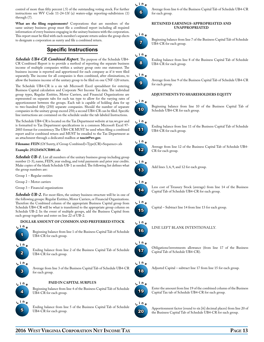control of more than fifty percent (.5) of the outstanding voting stock. For further instructions see WV Code 11-24-13f (a) waters-edge reporting-subdivision (1) through (7).

**What are the filing requirements?** Corporations that are members of the same unitary business group must file a combined report including all required information of every business engaging in the unitary business with the corporation. This report must be filed with each member's separate return unless the group elects to designate a corporation as surety and file a combined return.

### **Specific Instructions**

*Schedule UB4-CR Combined Report.* The purpose of the Schedule UB4- CR Combined Report is to provide a method of reporting the separate business income of multiple companies within a unitary group onto one statement. The business income is reported and apportioned for each company as if it were filed separately. The income for all companies is then combined, after eliminations, to allow the business income of the unitary group to be filed on one CNF-120 return.

The Schedule UB4-CR is a six tab Microsoft Excel spreadsheet for entering Business Capital calculation and Corporate Net Income Tax data. The individual group types, Regular Entities, Motor Carriers, and Financial Organizations are represented on separate tabs for each tax type to allow for the varying rates of apportionment between the groups. Each tab is capable of holding data for up to two-hundred fifty (250) separate companies. Should the number of separate companies in the unitary group exceed 250; a second UB4-CR can be filed. Specific line instructions are contained on the schedule under the tab labeled Instructions.

The Schedule UB4-CR is located on the Tax Department website at tax.wv.gov and is formatted to Tax Department specifications in a common Microsoft Excel 97- 2003 format for consistency. The UB4-CR MUST be used when filing a combined report and/or combined return and MUST be emailed to the Tax Department as an attachment through a dedicated mailbox at **taxcit@wv.gov.** 

**Filename: FEIN** (Of Surety, if Group Combined)+Type(CR)+Sequence+.xls

#### **Example: 251234567CR001.xls**

*Schedule UB-1.* List all members of the unitary business group including group number (1-3), name, FEIN, year ending, and total payments and prior year credits. Make copies of the blank Schedule UB-1 as needed. The following list defines what the group numbers are:

Group 1 – Regular entities

Group 2 – Motor carriers

Group 3 – Financial organizations

**Schedule UB-2.** For most filers, the unitary business structure will be in one of the following groups: Regular Entities, Motor Carriers, or Financial Organizations. Therefore the Combined column of the appropriate Business Capital group from Schedule UB4-CR will be what is transferred to the appropriate group column on Schedule UB-2. In the event of multiple groups, add the Business Capital from each group together and enter on line 22 of UB-2.

#### **Dollar amount of common and preferred stock**



Beginning balance from line 1 of the Business Capital Tab of Schedule UB4-CR for each group.



Ending balance from line 2 of the Business Capital Tab of Schedule UB4-CR for each group.



Average from line 3 of the Business Capital Tab of Schedule UB4-CR for each group.



**Paid in capital surplus**

Beginning balance from line 4 of the Business Capital Tab of Schedule UB4-CR for each group.

Ending balance from line 5 of the Business Capital Tab of Schedule UB4-CR for each group.



Average from line 6 of the Business Capital Tab of Schedule UB4-CR for each group.

#### **Retained earnings-appropriated and unappropriated**



Beginning balance from line 7 of the Business Capital Tab of Schedule UB4-CR for each group.



Ending balance from line 8 of the Business Capital Tab of Schedule UB4-CR for each group.

#### **L <sup>i</sup> <sup>n</sup> <sup>e</sup>**

9

Average from line 9 of the Business Capital Tab of Schedule UB4-CR for each group.

#### **Adjustments to shareholders equity**



Beginning balance from line 10 of the Business Capital Tab of Schedule UB4-CR for each group.



Ending balance from line 11 of the Business Capital Tab of Schedule UB4-CR for each group.



Average from line 12 of the Business Capital Tab of Schedule UB4- CR for each group.



Add lines 3, 6, 9, and 12 for each group.



Less cost of Treasury Stock (average) from line 14 of the Business Capital Tab of Schedule UB4-CR for each group.



Capital – Subtract line 14 from line 13 for each group.



Line left blank intentionally.



Obligations/investments allowance (from line 17 of the Business Capital Tab of Schedule UB4-CR).



Adjusted Capital – subtract line 17 from line 15 for each group.



Enter the amount from line 19 of the combined column of the Business Capital Tax tab of Schedule UB4-CR for each group.



Apportionment factor (round to six [6] decimal places) from line 20 of the Business Capital Tab of Schedule UB4-CR for each group.

**2016 West Virginia Corporation Net Income Tax Page 13**

**L <sup>i</sup> <sup>n</sup> <sup>e</sup>**

15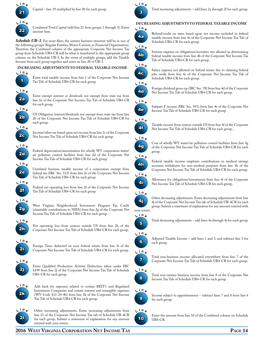

Capital – line 19 multiplied by line 20 for each group.

22

Combined Total Capital (add line 21 from groups 1 through 3). Enter amount here.

Schedule UB-3. For most filers, the unitary business structure will be in one of the following groups: Regular Entities, Motor Carriers, or Financial Organizations. Therefore the Combined column of the appropriate Corporate Net Income Tax group from Schedule UB4-CR will be what is transferred to the appropriate group column on the Schedule UB-3. In the event of multiple groups, add the Taxable Income from each group together and enter on line 20 of UB-3.



**Increasing adjustments to Federal Taxable Income**

Enter total taxable income from line 1 of the Corporate Net Income Tax Tab of Schedule UB4-CR for each group.



US Obligation interest/dividends not exempt from state tax from line 2b of the Corporate Net Income Tax Tab of Schedule UB4-CR for each group.

Income/other tax based upon net income from line 2c of the Corporate Net Income Tax Tab of Schedule UB4-CR for each group.

Federal depreciation/amortization for wholly WV corporation water/ air pollution control facilities from line 2d of the Corporate Net Income Tax Tab of Schedule UB4-CR for each group.

Unrelated business taxable income of a corporation exempt from federal tax (IRC Sec. 512) from line 2e of the Corporate Net Income Tax Tab of Schedule UB4-CR for each group.

Federal net operating loss from line 2f of the Corporate Net Income Tax Tab of Schedule UB4-CR for each group.

West Virginia Neighborhood Investment Program Tax Credit (charitable contributions to NIPA) from line 2g of the Corporate Net Income Tax Tab of Schedule UB4-CR for each group..

Net operating loss from sources outside US from line 2h of the Corporate Net Income Tax Tab of Schedule UB4-CR for each group.

Foreign Taxes deducted on your federal return from line 2i of the Corporate Net Income Tax Tab of Schedule UB4-CR for each group.

Enter Qualified Production Activity Deduction taken under IRC §199 from line 2j of the Corporate Net Income Tax Tab of Schedule UB4-CR for each group.



Add back for expenses related to certain REIT's and Regulated Investment Companies and certain interest and intangible expenses (WV Code §11-24-4b) from line 2k of the Corporate Net Income Tax Tab of Schedule UB4-CR for each group.



Other increasing adjustments. Enter increasing adjustments from line 21 of the Corporate Net Income Tax tab of Schedule UB-4CR for each group. Submit a statement of explanation for any amount entered with your return.



Total increasing adjustments – add lines 2a through 2l for each group.

#### **Decreasing adjustments to federal taxable income L <sup>i</sup> <sup>n</sup> <sup>e</sup>**



Refund/credit on taxes based upon net income included in federal taxable income from line 4a of the Corporate Net Income Tax Tab of Schedule UB4-CR for each group.



Interest expense on obligations/securities not allowed in determining federal taxable income from line 4b of the Corporate Net Income Tax Tab of Schedule UB4-CR for each group.



Salary expense not allowed on federal return due to claiming federal jobs credit from line 4c of the Corporate Net Income Tax Tab of Schedule UB4-CR for each group.



Foreign dividend gross-up (IRC Sec. 78) from line 4d of the Corporate Net Income Tax Tab of Schedule UB4-CR for each group.



Subpart F income (IRC Sec. 951) from line 4e of the Corporate Net Income Tax Tab of Schedule UB4-CR for each group.



Taxable income from sources outside US from line 4f of the Corporate Net Income Tax Tab of Schedule UB4-CR for each group..



Cost of wholly WV water/air pollution control facilities from line 4g of the Corporate Net Income Tax Tab of Schedule UB4-CR for each group.



Federal taxable income employer contributions to medical savings accounts withdrawn for non-medical purposes from line 4h of the Corporate Net Income Tax Tab of Schedule UB4-CR for each group.



Allowance for obligations/investments from line 4i of the Corporate Net Income Tax Tab of Schedule UB4-CR for each group.



Other decreasing adjustments. Enter decreasing adjustments from line 4j of the Corporate Net Income Tax tab of Schedule UB-4CR for each group. Submit a statement of explanation for any amount entered with

Total decreasing adjustments – add lines 4a through 4j for each group.

your return.



5



Adjusted Taxable Income – add lines 1 and 3, and subtract line 5 for each group.



Total non-business income allocated everywhere from line 7 of the Corporate Net Income Tax Tab of Schedule UB4-CR for each group.



Total non-unitary business income from line 8 of the Corporate Net Income Tax Tab of Schedule UB4-CR for each group.



Income subject to apportionment – subtract lines 7 and 8 from line 6 for each group.



Enter the amount from line 10 of the Combined column on Schedule UB4-CR.

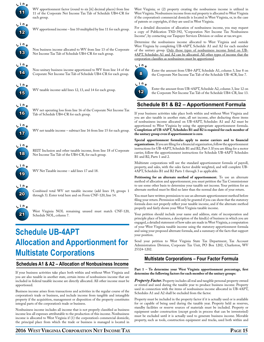

WV apportionment factor (round to six [6] decimal places) from line 11 of the Corporate Net Income Tax Tab of Schedule UB4-CR for each group.

WV apportioned income – line 10 multiplied by line 11 for each group.



**L <sup>i</sup> <sup>n</sup> <sup>e</sup>**

Non business income allocated to WV from line 13 of the Corporate Net Income Tax Tab of Schedule UB4-CR for each group.



Non-unitary business income apportioned to WV from line 14 of the Corporate Net Income Tax Tab of Schedule UB4-CR for each group.



WV taxable income-add lines 12, 13, and 14 for each group.



WV net operating loss from line 16 of the Corporate Net Income Tax Tab of Schedule UB4-CR for each group.



WV net taxable income – subtract line 16 from line 15 for each group.



REIT Inclusion and other taxable income, from line 18 of Corporate Net Income Tax Tab of the UB4-CR, for each group.



WV Net Taxable income – add lines 17 and 18.



Combined total WV net taxable income (add lines 19, groups 1 through 3). Enter total here and on Form CNF-120, line 14.



West Virginia NOL remaining unused must match CNF-120, Schedule NOL, column 7.

# **Schedule UB-4APT Allocation and Apportionment for Multistate Corporations**

### **Schedules A1 & A2 – Allocation of Nonbusiness Income**

If your business activities take place both within and without West Virginia and you are also taxable in another state, certain items of nonbusiness income that are included in federal taxable income are directly allocated. All other income must be apportioned.

Business income arises from transactions and activities in the regular course of the corporation's trade or business, and include income from tangible and intangible property if the acquisition, management or disposition of the property constitutes integral parts of the corporation's trade or business.

Nonbusiness income includes all income that is not properly classified as business income less all expenses attributable to the production of this income. Nonbusiness income is allocated to West Virginia if (1) the corporation's commercial domicile, the principal place from which the trade or business is managed is located in West Virginia; or (2) property creating the nonbusiness income is utilized in West Virginia. Nonbusiness income from real property is allocated to West Virginia if the corporation's commercial domicile is located in West Virginia, or, in the case of patents or copyrights, if they are used in West Virginia.

For a detailed discussion of allocation of nonbusiness income, you may request a copy of Publication TSD-392, "Corporation Net Income Tax Nonbusiness Income", by contacting our Taxpayer Services Division or online at tax.wv.gov.

Determine the nonbusiness income allocated to West Virginia and outside West Virginia by completing UB-4APT, Schedule A1 and A2 for each member of the unitary group. Only those types of nonbusiness income listed on UB-4APT, Schedules A1 and A2 can be allocated. All other types of income that the corporation classifies as nonbusiness must be apportioned.



Enter the amount from UB4-APT, Schedule A1, column 3, line 8 on the Corporate Net Income Tax Tab of the Schedule UB-4CR, line 7.



Enter the amount from UB-4APT, Schedule A2, column 3, line 12 on the Corporate Net Income Tax Tab of the Schedule UB4-CR, line 13.

### **Schedule B1 & B2 – Apportionment Formula**

If your business activities take place both within and without West Virginia and you are also taxable in another state, all net income, after deducting those items of nonbusiness income allocated on UB-4APT, Schedules A1 and A2 must be apportioned to West Virginia by using the appropriate apportionment formula. **Completion of UB-4APT, Schedules B1 and B2 is required for each member of the unitary group even if apportionment is zero**.

**Special apportionment formulas apply to motor carriers and to financial organizations.** If you are filing for a financial organization, follow the apportionment instructions for UB-4APT, Schedule B1 and B2, Part 3. If you are filing for a motor carrier, follow the apportionment instructions for Schedule UB-4APT Schedules B1 and B2, Parts 1 and 2.

Multistate corporations will use the standard apportionment formula of payroll, property, and sales, with the sales factor double weighted, and will complete UB-4APT, Schedules B1 and B2 Parts 1 through 3 as applicable.

**Petitioning for an alternate method of apportionment.** To use an alternate method of allocation and apportionment, you must petition the Tax Commissioner to use some other basis to determine your taxable net income. Your petition for an alternate method must be filed no later than the normal due date of your return.

You must have written permission to use an alternate apportionment method before filing your return. Permission will only be granted if you can show that the statutory formula does not properly reflect your taxable income, and if the alternate method properly and fairly shows your West Virginia taxable income.

Your petition should include your name and address, state of incorporation and principle place of business, a description of the kind(s) of business in which you are engaged, a detailed statement of how sales are made in West Virginia, a computation of your West Virginia taxable income using the statutory apportionment formula and using your proposed alternate formula, and a summary of the facts that support your position.

Send your petition to West Virginia State Tax Department, Tax Account Administration Division, Corporate Tax Unit, PO Box 1202, Charleston, WV 25324-1202.

### **Multistate Corporations – Four Factor Formula**

#### **Part 1 – To determine your West Virginia apportionment percentage, first determine the following factors for each member of the unitary groups:**

*Property Factor.* Property includes all real and tangible personal property owned or rented and used during the taxable year to produce business income. Property used in connection with the items of nonbusiness income allocated in UB-4APT, Schedules A1 and A2 shall be excluded from the factor.

Property must be included in the property factor if it is actually used or is available for or capable of being used during the taxable year. Property held as reserves, standby facilities or reserve sources of materials must be included. Property or equipment under construction (except goods in process that can be inventoried) must be excluded until it is actually used to generate business income. Movable property, such as tools, construction equipment and trucks, used both within and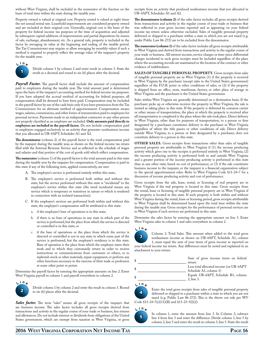without West Virginia, shall be included in the numerator of the fraction on the basis of total time within the state during the taxable year.

Property owned is valued at original cost. Property rented is valued at eight times the net annual rental rate. Leasehold improvements are considered property owned and are included at their original cost. Generally, original cost is the basis of the property for federal income tax purposes at the time of acquisition and adjusted by subsequent capital additions of improvements and partial dispositions by reason of sale, exchange, abandonment, etc. As a general rule, property is included in the factor by averaging its value at the beginning and ending of the taxable period. The Tax Commissioner may require or allow averaging by monthly values if such a method is required to properly reflect the average value of the taxpayer's property for the taxable year.



Divide column 1 by column 2 and enter result in column 3. State the result as a decimal and round to six (6) places after the decimal.

*Payroll Factor.* The payroll factor shall include the amount of compensation paid to employees during the taxable year. The total amount paid is determined upon the basis of the taxpayer's accounting method for federal income tax purposes. If you have adopted the accrual method of accounting for federal purposes, all compensation shall be deemed to have been paid. Compensation may be included in the payroll factor by use of the cash basis only if you have permission from the Tax Commissioner for an alternate method of apportionment. Compensation means wages, salaries, commissions, and other forms of remuneration paid to employees for personal services. Payments made to an independent contractor or any other person not properly classified as an employee are excluded. **Only amounts paid directly to employees are included in the payroll factor.** Do not include compensation paid to employees engaged exclusively in an activity that generates nonbusiness income that you allocated in UB-4APT, Schedules A1 and A2.

**The denominator** (column 2) of the payroll factor is the total compensation paid by the taxpayer during the taxable year, as shown on the federal income tax return filed with the Internal Revenue Service and as reflected in the schedule of wages and salaries and that portion of the cost of goods sold which reflect compensation.

**The numerator** (column 1) of the payroll factor is the total amount paid in this state during the taxable year by the taxpayer for compensation. Compensation is paid in this state if any of the following tests, applied consecutively, are met:

- A. The employee's service is performed entirely within this state;
- B. The employee's service is performed both within and without this state, but the service performed without this state is "incidental" to the employee's service within this state (the word incidental means any service which is temporary or transitory in nature or which is rendered in connection with an isolated transaction);
- C. If the employee's services are performed both within and without this state, the employee's compensation will be attributed to this state:
	- a. if the employee's base of operations is in this state;
	- b. if there is no base of operations in any state in which part of the service is performed, but the place from which the service is directed or controlled is in this state; or
	- c. if the base of operations or the place from which the service is directed or controlled is not in any state in which some part of the service is performed, but the employee's residence is in this state. Base of operation is the place from which the employee starts their work and to which they customarily return in order to receive instructions or communications from customers or others, or to replenish stock or other materials, repair equipment, or perform any other functions necessary to the exercise of their trade or profession at some other point or points.

Determine the payroll factor by entering the appropriate amounts on line 2. Enter West Virginia payroll in column 1 and payroll everywhere in column 2.



Divide column 1 by column 2 and enter the result in column 3. Round to six (6) places after the decimal.

*Sales factor.* The term "sales" means all gross receipts of the taxpayer that are business income. The sales factor includes all gross receipts derived from transactions and activity in the regular course of your trade or business, less returns and allowances. Do not include interest or dividends from obligations of the United States government, which are exempt from taxation in West Virginia, or gross receipts from an activity that produced nonbusiness income that you allocated in UB-4APT, Schedules A1 and A2.

**The denominator (column 2)** of the sales factor includes all gross receipts derived from transactions and activity in the regular course of your trade or business that was reflected in your gross income reported and as appearing on your federal income tax return unless otherwise excluded. Sales of tangible personal property delivered or shipped to a purchaser within a state in which you are not taxed (e.g. under Public Law 86-272) are to be excluded from the denominator.

**The numerator (column 1)** of the sales factor includes all gross receipts attributable to West Virginia and derived from transactions and activity in the regular course of your trade or business. All interest income, service charges or time-price differential charges incidental to such gross receipts must be included regardless of the place where the accounting records are maintained or the location of the contract or other evidence of indebtedness.

**Sales of tangible personal property.** Gross receipts from sales of tangible personal property are in West Virginia (1) if the property is received in West Virginia by the purchaser (except sales to the United States government) regardless of the F.O.B. point or other conditions of sales; or (2) if the property is shipped from an office, store, warehouse, factory, or other place of storage in West Virginia and the purchaser is the United States government.

Sales within West Virginia are generally determined on a destination basis. If the purchaser picks up or otherwise receives the property in West Virginia, the sale is treated as taking place in this state. If the property is delivered by common carrier or other means of transportation, the place at which the property is received after all transportation is completed is the place where the sale took place. Direct delivery in West Virginia, other than for purposes of transportation, to a person or firm designated by a purchaser, constitutes delivery to the purchaser in West Virginia regardless of where the title passes or other conditions of sale. Direct delivery outside West Virginia, to a person or firm designated by a purchaser, does not constitute delivery to a person in this state.

**OTHER SALES.** Gross receipts from transactions other than sales of tangible personal property are attributable to West Virginia if (1) the income producing activity which gives rise to the receipts is performed entirely in West Virginia; (2) the income producing activity is performed both in and outside West Virginia and a greater portion of the income producing activity is performed in this state than in any other state, based on cost of performance; or (3) if the sale constitutes business income to the taxpayer, or the taxpayer is a financial organization subject to the special apportionment rules. Refer to West Virginia Code §11-24-7 for a discussion of income producing activity and cost of performance.

Gross receipts from the sale, lease, rental, or licensing of real property are in West Virginia if the real property is located in this state. Gross receipts from the rental, lease or licensing of tangible personal property are in West Virginia if the property is located in this state. If such property is both within and without West Virginia during the rental, lease or licensing period, gross receipts attributable to West Virginia shall be determined based upon the total time within the state during the taxable year. Gross receipts for the performance of personal services are in West Virginia if such services are performed in this state.

Determine the sales factor by entering the appropriate amount on line 3. Enter West Virginia sales in column 1 and sales everywhere in column 2.



Column 2. Total Sales. This amount when added to the total gross nonbusiness income as shown on UB-4APT, Schedule A1, column 1, must equal the sum of your items of gross income as reported on your federal income tax return. Any differences must be noted and explained in an attachment to your return.

|  | Sum of gross income items on federal<br>return                                                                          |  |  |
|--|-------------------------------------------------------------------------------------------------------------------------|--|--|
|  | Less total allocated income (on UB-4APT)<br>Schedule A1, column 1)<br>Equals UB-4APT, Schedule B1, column<br>2. line 3. |  |  |
|  |                                                                                                                         |  |  |

**L <sup>i</sup> <sup>n</sup> <sup>e</sup>**



Enter the total gross receipts from sales of tangible personal property delivered or shipped to a purchaser within a state in which you are not taxed (e.g. Public Law 86-272). This is the throw out rule per WV Code §11-24-7(e)(11)(B) and §11-23-5(l)(2).

### **L <sup>i</sup> <sup>n</sup> <sup>e</sup>**



In column 1, enter the amount from line 3. In Column 2, subtract line 4 from line 3 and enter the difference. Divide column 1, line 5 by column 2, line 5 and enter the result in column 3, line 5. State the result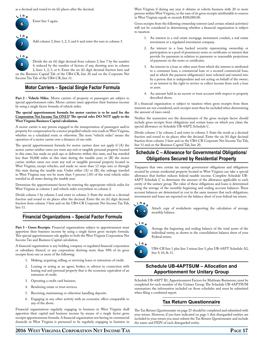as a decimal and round to six (6) places after the decimal.



Enter line 5 again.

Add column 3, lines 1, 2, 5, and 6 and enter the sum in column 3.

8 **L <sup>i</sup> <sup>n</sup> <sup>e</sup>** Divide the six (6) digit decimal from column 3, line 7 by the number 4, reduced by the number of factors, if any, showing zero in column 2, lines 1, 2, 5, or 6. Enter the six (6) digit decimal fraction here and on the Business Capital Tab of the UB4-CR, line 20 and on the Corporate Net Income Tax Tab of the UB4-CR, line 11.

### **Motor Carriers – Special Single Factor Formula**

**Part 2 – Vehicle Miles.** Motor carriers of property or passengers are subject to special apportionment rules. Motor carriers must apportion their business income by using a single factor formula of vehicle miles.

#### **The special apportionment formula for motor carriers is to be used for the**  Corporation Net Income Tax ONLY! The special rules DO NOT apply to the **West Virginia Business Capital calculation.**

A motor carrier is any person engaged in the transportation of passengers and/or property for compensation by a motor propelled vehicle over roads in West Virginia, whether on a scheduled route or otherwise. The term "vehicle miles" means the operation of a motor carrier over a distance of one mile.

The special apportionment formula for motor carriers does not apply if (A) the motor carrier neither owns nor rents any real or tangible personal property located in this state, has made no pick ups or deliveries within this state, and has traveled less than 50,000 miles in this state during the taxable year; or (B) the motor carrier neither owns nor rents any real or tangible personal property located in West Virginia, except vehicles, and made no more than 12 trips into or through this state during the taxable year. Under either (A) or (B), the mileage traveled in West Virginia may not be more than 5 percent (.05) of the total vehicle miles traveled in all states during the taxable year.

Determine the apportionment factor by entering the appropriate vehicle miles for West Virginia in column 1 and vehicle miles everywhere in column 2.

Divide column 1 by column 2 and enter in column 3. State the result as a decimal fraction and round to six places after the decimal. Enter the six (6) digit decimal fraction from column 3 here and on the UB4-CR Corporate Net Income Tax Tab, line 11.

### **Financial Organizations – Special Factor Formula**

Part 3 – Gross Receipts. Financial organizations subject to apportionment must apportion their business income by using a single factor gross receipts formula. This special apportionment rule applies to both the West Virginia Corporation Net Income Tax and Business Capital calculation.

A financial organization is any holding company or regulated financial corporation or subsidiary thereof, or any corporation deriving more than 50% of its gross receipts from one or more of the following:

- 1. Making, acquiring, selling, or servicing loans or extensions of credit.
- 2. Leasing or acting as an agent, broker, or advisor in connection with leasing real and personal property that is the economic equivalent of an extension of credit.
- 3. Operating a credit card business.
- 4. Rendering estate or trust services.
- 5. Receiving, maintaining or otherwise handling deposits.
- 6. Engaging in any other activity with an economic effect comparable to any of the above.

Financial organizations regularly engaging in business in West Virginia shall apportion their capital and business income by means of a single factor gross receipts apportionment formula. A financial organization not having its commercial domicile in West Virginia is presumed to be regularly engaging in business in West Virginia if during any year it obtains or solicits business with 20 or more persons within West Virginia, or the sum of its gross receipts attributable to sources in West Virginia equals or exceeds \$100,000.00.

Gross receipts from the following ownership interest (and certain related activities) will not be considered in determining whether a financial organization is subject to taxation:

- 1. An interest in a real estate mortgage investment conduit, a real estate investment or a regulated investment company.
- 2. An interest in a loan backed security representing ownership or participation in a pool of promissory notes or certificates or interest that provide for payments in relation to payments or reasonable projections of payments on the notes or certificates.
- 3. An interest in a loan or other asset from which the interest is attributed to a consumer loan, a commercial loan or a secured commercial loan, and in which the payment obligation(s) were solicited and entered into by a person that is independent and not acting on behalf of the owner; or an interest in the right to service or collect income from such a loan or asset.
- 4. An amount held in an escrow or trust account with respect to property described above.

If a financial organization is subject to taxation when gross receipts from these interests are not considered, such receipts must then be included when determining the amount of taxes owed.

Neither the numerator nor the denominator of the gross receipts factor should include gross receipts from obligations and certain loans on which you claim the special allowance on Schedule UB-4APT, Schedule C.

Divide column 1 by column 2 and enter in column 3. State the result as a decimal fraction and round to six places after the decimal. Enter the six (6) digit decimal fraction from column 3 here and on the UB4-CR Corporate Net Income Tax Tab, line 11 and on the Business Capital Tab, line 20.

### **Schedule C – Allowance for Governmental Obligations/ Obligations Secured by Residential Property**

Taxpayers that own certain tax exempt government obligations and obligations secured by certain residential property located in West Virginia can take a special allowance that further reduces federal taxable income. Complete Schedule UB-4APT Schedule C to determine the amount of the allowance applicable to each entity of the unitary group. The value of these obligations and loans is determined using the average of the monthly beginning and ending account balances. These account balances are determined at cost in the same manner that such obligations, investments and loans are reported on the balance sheet of your federal tax return.



Attach copy of worksheets supporting the calculation of average monthly balance.

**6 L <sup>i</sup> <sup>n</sup> <sup>e</sup>**

Average the beginning and ending balance of the total assets of the individual entity, as shown in the consolidation balance sheet of your Federal return.



UB4-CR line 1 plus line 3 minus line 5, plus UB-4APT Schedule A2, line 9, 10, & 11.

### **Schedule UB-4APTSUM – Allocation and Apportionment for Unitary Group**

Schedule UB-4APT B1, Apportionment Factors for Multisate Businesses, must be completed for each member of the Unitary Group. The Schedule UB-4APTSUM summarizes the information included on those schedules and must be submitted when filing a combined report.

### **Tax Return Questionnaire**

The Tax Return Questionnaire on page 25 should be completed and submitted with your return. However, if you have indicated on page 1 that disregarded entities are included in your return you must submit the Tax Return Questionnaire and include the name and FEIN of each disregarded entity.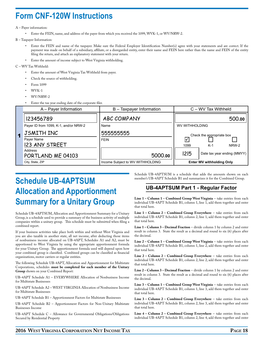## **Form CNF-120W Instructions**

#### A – Payer information:

• Enter the FEIN, name, and address of the payer from which you received the 1099, WVK-1, or WV/NRW-2.

B – Taxpayer Information:

- Enter the FEIN and name of the taxpayer. Make sure the Federal Employer Identification Number(s) agree with your statements and are correct. If the payment was made on behalf of a subsidiary, affiliate, or a disregarded entity, enter their name and FEIN here rather than the name and FEIN of the entity filing the return, and attach an explanatory statement with your return.
- Enter the amount of income subject to West Virginia withholding.

C – WV Tax Withheld:

- Enter the amount of West Virginia Tax Withheld from payer.
- Check the source of withholding.
- Form 1099
- WVK-1
- WV/NRW-2
- Enter the tax year ending date of the corporate filer.

|   | A – Payer Information                 | B - Taxpayer Information         | C - WV Tax Withheld                |
|---|---------------------------------------|----------------------------------|------------------------------------|
|   | 123456789                             | <b>ABC COMPANY</b>               | 500.00                             |
|   | Payer ID from 1099, K-1, and/or NRW-2 | Name                             | <b>WV WITHHOLDING</b>              |
| 1 | JSMITH INC                            | 555555555                        | Check the appropriate box          |
|   | Payer Name                            | <b>FEIN</b>                      | Ⅳ                                  |
|   | <b>123 ANY STREET</b>                 |                                  | 1099<br>NRW-2<br>$K-1$             |
|   | Address<br>PORTLAND ME 04103          | 5000.00                          | 2 5<br>Date tax year ending (MMYY) |
|   | City, State, ZIP                      | Income Subject to WV WITHHOLDING | <b>Enter WV withholding Only</b>   |

# **Schedule UB-4APTSUM Allocation and Apportionment Summary for a Unitary Group**

Schedule UB-4APTSUM, Allocation and Apportionment Summary for a Unitary Group, is a schedule used to provide a summary of the business activity of multiple companies within a unitary group. This schedule must be submitted when filing a combined report.

If your business activities take place both within and without West Virginia and you are also taxable in another state, all net income, after deducting those items of nonbusiness income allocated on UB-4APT, Schedules A1 and A2, must be apportioned to West Virginia by using the appropriate apportionment formula for your Unitary Group. The apportionment formula used will depend upon how your combined group is classified. Combined groups can be classified as financial organizations, motor carriers or regular entities.

The following Schedule UB-4APT, Allocation and Apportionment for Multistate Corporations, schedules **must be completed for each member of the Unitary Group** shown on your Combined Report:

UB-4APT Schedule A1 – EVERYWHERE Allocation of Nonbusiness Income for Multistate Businesses

UB-4APT Schedule A2 – WEST VIRGINIA Allocation of Nonbusiness Income for Multistate Businesses

UB-4APT Schedule B1 – Apportionment Factors for Multistate Businesses

UB-4APT Schedule B2 – Apportionment Factors for Non-Unitary Multistate Businesses Income

UB-4APT Schedule C – Allowance for Governmental Obligations/Obligations Secured by Residential Property

Schedule UB-4APTSUM is a schedule that adds the amounts shown on each member's UB-4APT Schedule B1 and summarizes it for the Combined Group.

### **UB-4APTSUM Part 1 - Regular Factor**

**Line 1 – Column 1 – Combined Group West Virginia** – take entries from each individual UB-4APT Schedule B1, column 1, line 1, add them together and enter that total here.

**Line 1 – Column 2 – Combined Group Everywhere** – take entries from each individual UB-4APT Schedule B1, column 2, line 1, add them together and enter that total here.

**Line 1 – Column 3 – Decimal Fraction** – divide column 1 by column 2 and enter result in column 3. State the result as a decimal and round to six (6) places after the decimal.

**Line 2 – Column 1 – Combined Group West Virginia** – take entries from each individual UB-4APT Schedule B1, column 1, line 2, add them together and enter that total here.

**Line 2 – Column 2 – Combined Group Everywhere** – take entries from each individual UB-4APT Schedule B1, column 2, line 2, add them together and enter that total here.

**Line 2 – Column 3 – Decimal Fraction** – divide column 1 by column 2 and enter result in column 3. State the result as a decimal and round to six (6) places after the decimal.

**Line 3 – Column 1 – Combined Group West Virginia** – take entries from each individual UB-4APT Schedule B1, column 1, line 3, add them together and enter that total here.

**Line 3 – Column 2 – Combined Group Everywhere** – take entries from each individual UB-4APT Schedule B1, column 2, line 3, add them together and enter that total here.

**Line 4 – Column 2 – Combined Group Everywhere** – take entries from each individual UB-4APT Schedule B1, column 2, line 4, add them together and enter